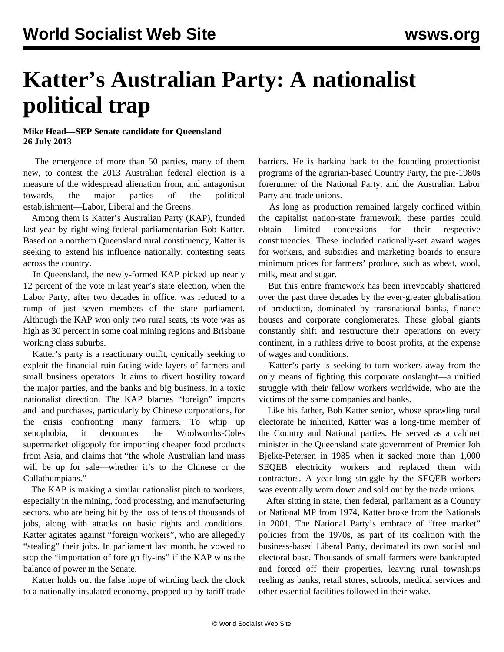## **Katter's Australian Party: A nationalist political trap**

## **Mike Head—SEP Senate candidate for Queensland 26 July 2013**

 The emergence of more than 50 parties, many of them new, to contest the 2013 Australian federal election is a measure of the widespread alienation from, and antagonism towards, the major parties of the political establishment—Labor, Liberal and the Greens.

 Among them is Katter's Australian Party (KAP), founded last year by right-wing federal parliamentarian Bob Katter. Based on a northern Queensland rural constituency, Katter is seeking to extend his influence nationally, contesting seats across the country.

 In Queensland, the newly-formed KAP picked up nearly 12 percent of the vote in last year's state election, when the Labor Party, after two decades in office, was reduced to a rump of just seven members of the state parliament. Although the KAP won only two rural seats, its vote was as high as 30 percent in some coal mining regions and Brisbane working class suburbs.

 Katter's party is a reactionary outfit, cynically seeking to exploit the financial ruin facing wide layers of farmers and small business operators. It aims to divert hostility toward the major parties, and the banks and big business, in a toxic nationalist direction. The KAP blames "foreign" imports and land purchases, particularly by Chinese corporations, for the crisis confronting many farmers. To whip up xenophobia, it denounces the Woolworths-Coles supermarket oligopoly for importing cheaper food products from Asia, and claims that "the whole Australian land mass will be up for sale—whether it's to the Chinese or the Callathumpians."

 The KAP is making a similar nationalist pitch to workers, especially in the mining, food processing, and manufacturing sectors, who are being hit by the loss of tens of thousands of jobs, along with attacks on basic rights and conditions. Katter agitates against "foreign workers", who are allegedly "stealing" their jobs. In parliament last month, he vowed to stop the "importation of foreign fly-ins" if the KAP wins the balance of power in the Senate.

 Katter holds out the false hope of winding back the clock to a nationally-insulated economy, propped up by tariff trade

barriers. He is harking back to the founding protectionist programs of the agrarian-based Country Party, the pre-1980s forerunner of the National Party, and the Australian Labor Party and trade unions.

 As long as production remained largely confined within the capitalist nation-state framework, these parties could obtain limited concessions for their respective constituencies. These included nationally-set award wages for workers, and subsidies and marketing boards to ensure minimum prices for farmers' produce, such as wheat, wool, milk, meat and sugar.

 But this entire framework has been irrevocably shattered over the past three decades by the ever-greater globalisation of production, dominated by transnational banks, finance houses and corporate conglomerates. These global giants constantly shift and restructure their operations on every continent, in a ruthless drive to boost profits, at the expense of wages and conditions.

 Katter's party is seeking to turn workers away from the only means of fighting this corporate onslaught—a unified struggle with their fellow workers worldwide, who are the victims of the same companies and banks.

 Like his father, Bob Katter senior, whose sprawling rural electorate he inherited, Katter was a long-time member of the Country and National parties. He served as a cabinet minister in the Queensland state government of Premier Joh Bjelke-Petersen in 1985 when it sacked more than 1,000 SEQEB electricity workers and replaced them with contractors. A year-long struggle by the SEQEB workers was eventually worn down and sold out by the trade unions.

 After sitting in state, then federal, parliament as a Country or National MP from 1974, Katter broke from the Nationals in 2001. The National Party's embrace of "free market" policies from the 1970s, as part of its coalition with the business-based Liberal Party, decimated its own social and electoral base. Thousands of small farmers were bankrupted and forced off their properties, leaving rural townships reeling as banks, retail stores, schools, medical services and other essential facilities followed in their wake.